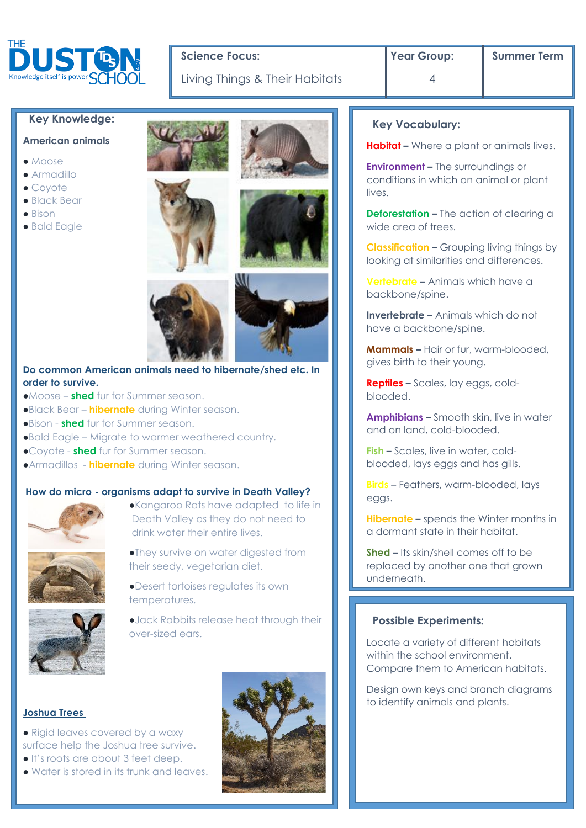

# Science Focus: **The Properties of Summer Term Science Focus:** Summer Term

Living Things & Their Habitats | 4

## **Key Knowledge:**

## **American animals**

- Moose
- Armadillo
- Coyote
- Black Bear
- $\bullet$  Bison
- Bald Eagle







## **Do common American animals need to hibernate/shed etc. In order to survive.**

- ●Moose **shed** fur for Summer season.
- ●Black Bear **hibernate** during Winter season.
- ●Bison **shed** fur for Summer season.
- ●Bald Eagle Migrate to warmer weathered country.
- ●Coyote **shed** fur for Summer season.
- ●Armadillos **hibernate** during Winter season.

### **How do micro - organisms adapt to survive in Death Valley?**



- ●Kangaroo Rats have adapted to life in Death Valley as they do not need to drink water their entire lives.
- ●They survive on water digested from their seedy, vegetarian diet.
- ●Desert tortoises regulates its own temperatures.

●Jack Rabbits release heat through their over-sized ears.

### **Joshua Trees**

- Rigid leaves covered by a waxy surface help the Joshua tree survive.
- It's roots are about 3 feet deep.
- Water is stored in its trunk and leaves.



#### **Key Vocabulary:**

**Habitat –** Where a plant or animals lives.

**Environment –** The surroundings or conditions in which an animal or plant lives.

**Deforestation –** The action of clearing a wide area of trees.

**Classification –** Grouping living things by looking at similarities and differences.

**Vertebrate –** Animals which have a backbone/spine.

**Invertebrate –** Animals which do not have a backbone/spine.

**Mammals –** Hair or fur, warm-blooded, gives birth to their young.

**Reptiles –** Scales, lay eggs, coldblooded.

**Amphibians –** Smooth skin, live in water and on land, cold-blooded.

**Fish –** Scales, live in water, coldblooded, lays eggs and has gills.

**Birds** – Feathers, warm-blooded, lays eggs.

**Hibernate –** spends the Winter months in a dormant state in their habitat.

**Shed –** Its skin/shell comes off to be replaced by another one that grown underneath.

#### **Possible Experiments:**

.

Locate a variety of different habitats within the school environment. Compare them to American habitats.

Design own keys and branch diagrams to identify animals and plants.